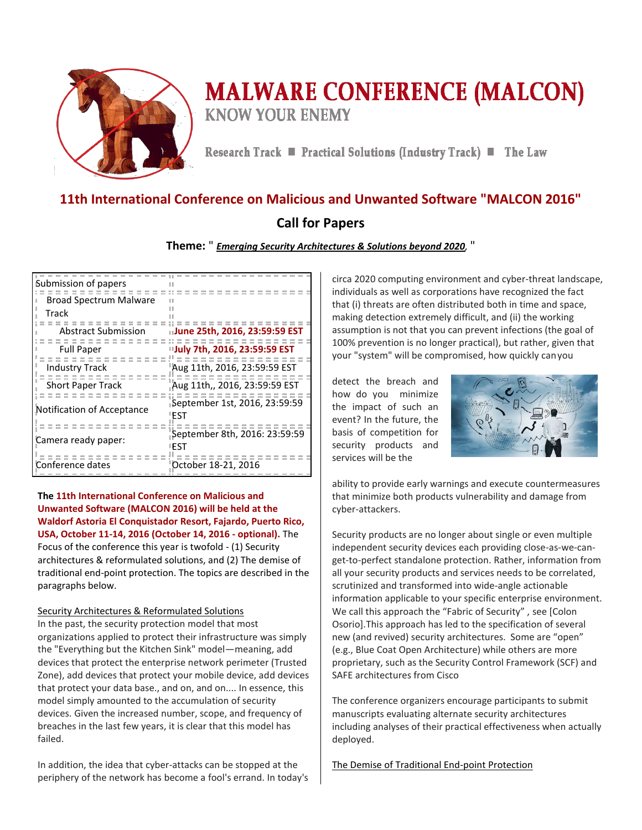

# **MALWARE CONFERENCE (MALCON) KNOW YOUR ENEMY**

Research Track ■ Practical Solutions (Industry Track) ■ The Law

# **11th International Conference on Malicious and Unwanted Software "MALCON 2016"**

# **Call for Papers**

# **Theme:** " *Emerging Security Architectures & Solutions beyond 2020,* "

| Submission of papers          |                                              |
|-------------------------------|----------------------------------------------|
| <b>Broad Spectrum Malware</b> |                                              |
| Track                         |                                              |
| Abstract Submission           | uJune 25th, 2016, 23:59:59 EST               |
| <b>Full Paper</b>             | "July 7th, 2016, 23:59:59 EST                |
| <b>Industry Track</b>         | Aug 11th, 2016, 23:59:59 EST                 |
| <b>Short Paper Track</b>      | Aug 11th,, 2016, 23:59:59 EST"               |
| Notification of Acceptance    | <b>September 1st, 2016, 23:59:59</b><br>"EST |
| Camera ready paper:           | September 8th, 2016: 23:59:59<br>"FST        |
| Conference dates              | October 18-21, 2016                          |

**The 11th International Conference on Malicious and Unwanted Software (MALCON 2016) will be held at the Waldorf Astoria El Conquistador Resort, Fajardo, Puerto Rico, USA, October 11-14, 2016 (October 14, 2016 - optional).** The Focus of the conference this year is twofold - (1) Security architectures & reformulated solutions, and (2) The demise of traditional end-point protection. The topics are described in the paragraphs below.

# Security Architectures & Reformulated Solutions

In the past, the security protection model that most organizations applied to protect their infrastructure was simply the "Everything but the Kitchen Sink" model—meaning, add devices that protect the enterprise network perimeter (Trusted Zone), add devices that protect your mobile device, add devices that protect your data base., and on, and on.... In essence, this model simply amounted to the accumulation of security devices. Given the increased number, scope, and frequency of breaches in the last few years, it is clear that this model has failed.

In addition, the idea that cyber-attacks can be stopped at the periphery of the network has become a fool's errand. In today's circa 2020 computing environment and cyber-threat landscape, individuals as well as corporations have recognized the fact that (i) threats are often distributed both in time and space, making detection extremely difficult, and (ii) the working assumption is not that you can prevent infections (the goal of 100% prevention is no longer practical), but rather, given that your "system" will be compromised, how quickly can you

detect the breach and how do you minimize the impact of such an event? In the future, the basis of competition for security products and services will be the



ability to provide early warnings and execute countermeasures that minimize both products vulnerability and damage from cyber-attackers.

Security products are no longer about single or even multiple independent security devices each providing close-as-we-canget-to-perfect standalone protection. Rather, information from all your security products and services needs to be correlated, scrutinized and transformed into wide-angle actionable information applicable to your specific enterprise environment. We call this approach the "Fabric of Security" , see [Colon Osorio].This approach has led to the specification of several new (and revived) security architectures. Some are "open" (e.g., Blue Coat Open Architecture) while others are more proprietary, such as the Security Control Framework (SCF) and SAFE architectures from Cisco

The conference organizers encourage participants to submit manuscripts evaluating alternate security architectures including analyses of their practical effectiveness when actually deployed.

The Demise of Traditional End-point Protection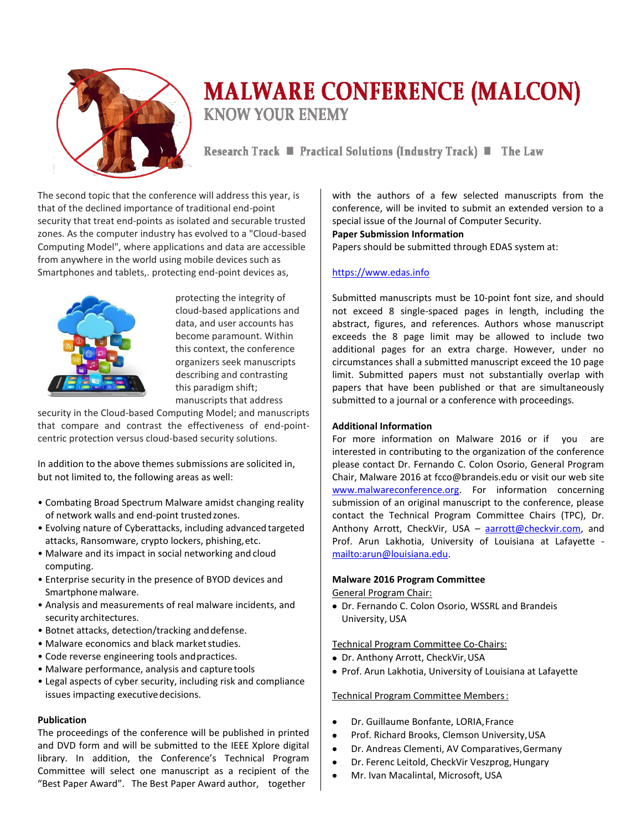

# **MALWARE CONFERENCE (MALCON) KNOW YOUR ENEMY**

Research Track ■ Practical Solutions (Industry Track) ■ The Law

The second topic that the conference will address this year, is that of the declined importance of traditional end-point security that treat end-points as isolated and securable trusted zones. As the computer industry has evolved to a "Cloud-based Computing Model", where applications and data are accessible from anywhere in the world using mobile devices such as Smartphones and tablets,. protecting end-point devices as,



protecting the integrity of cloud-based applications and data, and user accounts has become paramount. Within this context, the conference organizers seek manuscripts describing and contrasting this paradigm shift; manuscripts that address

security in the Cloud-based Computing Model; and manuscripts that compare and contrast the effectiveness of end-pointcentric protection versus cloud-based security solutions.

In addition to the above themes submissions are solicited in, but not limited to, the following areas as well:

- Combating Broad Spectrum Malware amidst changing reality of network walls and end-point trusted zones.
- Evolving nature of Cyberattacks, including advanced targeted attacks, Ransomware, crypto lockers, phishing, etc.
- Malware and its impact in social networking and cloud computing.
- Enterprise security in the presence of BYOD devices and Smartphone malware.
- Analysis and measurements of real malware incidents, and security architectures.
- Botnet attacks, detection/tracking and defense.
- Malware economics and black market studies.
- Code reverse engineering tools and practices.
- Malware performance, analysis and capture tools
- Legal aspects of cyber security, including risk and compliance issues impacting executive decisions.

# **Publication**

The proceedings of the conference will be published in printed and DVD form and will be submitted to the IEEE Xplore digital library. In addition, the Conference's Technical Program Committee will select one manuscript as a recipient of the "Best Paper Award". The Best Paper Award author, together

with the authors of a few selected manuscripts from the conference, will be invited to submit an extended version to a special issue of the Journal of Computer Security.

# **Paper Submission Information**

Papers should be submitted through EDAS system at:

# [https://www.edas.info](https://www.edas.info/newPaper.php?c=22290)

Submitted manuscripts must be 10-point font size, and should not exceed 8 single-spaced pages in length, including the abstract, figures, and references. Authors whose manuscript exceeds the 8 page limit may be allowed to include two additional pages for an extra charge. However, under no circumstances shall a submitted manuscript exceed the 10 page limit. Submitted papers must not substantially overlap with papers that have been published or that are simultaneously submitted to a journal or a conference with proceedings.

#### **Additional Information**

For more information on Malware 2016 or if you are interested in contributing to the organization of the conference please contact Dr. Fernando C. Colon Osorio, General Program Chair, Malware 2016 a[t fcco@brandeis.edu](mailto:fcco@brandeis.edu) or visit our web site [www.malwareconference.org.](http://www.malwareconference.org/) For information concerning submission of an original manuscript to the conference, please contact the Technical Program Committee Chairs (TPC), Dr. Anthony Arrott, CheckVir, USA – [aarrott@checkvir.com,](mailto:Anthony_Arrott@trendmicro.com) and Prof. Arun Lakhotia, [University of Louisiana at Lafayette](http://www.linkedin.com/company/university-of-louisiana-at-lafayette?trk=ppro_cprof)  [mailto:arun@louisiana.edu.](mailto:arun@louisiana.edu)

#### **Malware 2016 Program Committee**

#### General Program Chair:

Dr. Fernando C. Colon Osorio, WSSRL and Brandeis University, USA

#### Technical Program Committee Co-Chairs:

- Dr. Anthony Arrott, CheckVir, USA
- Prof. Arun Lakhotia, University of Louisiana at Lafayette

#### Technical Program Committee Members :

- Dr. Guillaume Bonfante, LORIA, France
- Prof. Richard Brooks, Clemson University, USA
- $\bullet$ Dr. Andreas Clementi, AV Comparatives, Germany
- $\bullet$ Dr. Ferenc Leitold, CheckVir Veszprog, Hungary
- Mr. Ivan Macalintal, Microsoft, USA